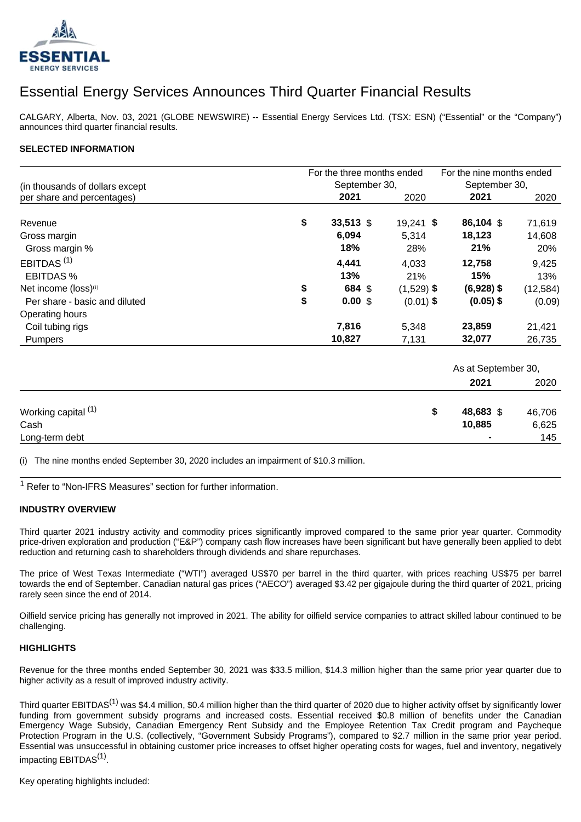

# Essential Energy Services Announces Third Quarter Financial Results

CALGARY, Alberta, Nov. 03, 2021 (GLOBE NEWSWIRE) -- Essential Energy Services Ltd. (TSX: ESN) ("Essential" or the "Company") announces third quarter financial results.

#### **SELECTED INFORMATION**

|                                  |    | For the three months ended |              |                     |           |  |
|----------------------------------|----|----------------------------|--------------|---------------------|-----------|--|
| (in thousands of dollars except  |    | September 30,              |              | September 30,       |           |  |
| per share and percentages)       |    | 2021                       | 2020         | 2021                | 2020      |  |
| Revenue                          | \$ | 33,513 \$                  |              | 86,104 \$           |           |  |
|                                  |    |                            | $19,241$ \$  |                     | 71,619    |  |
| Gross margin                     |    | 6,094                      | 5,314        | 18,123              | 14,608    |  |
| Gross margin %                   |    | 18%                        | 28%          | 21%                 | 20%       |  |
| EBITDAS <sup>(1)</sup>           |    | 4,441                      | 4,033        | 12,758              | 9,425     |  |
| <b>EBITDAS%</b>                  |    | 13%<br>21%                 |              |                     | 13%       |  |
| Net income (loss) <sup>(i)</sup> | \$ | 684 \$                     | $(1,529)$ \$ | $(6,928)$ \$        | (12, 584) |  |
| Per share - basic and diluted    | \$ | 0.00S                      | $(0.01)$ \$  | $(0.05)$ \$         | (0.09)    |  |
| Operating hours                  |    |                            |              |                     |           |  |
| Coil tubing rigs                 |    | 7,816                      | 5,348        | 23,859              | 21,421    |  |
| <b>Pumpers</b>                   |    | 10,827                     | 7,131        | 32,077              | 26,735    |  |
|                                  |    |                            |              | As at September 30, |           |  |
|                                  |    |                            |              | 2021                | 2020      |  |
|                                  |    |                            |              | 48,683 \$           | 46,706    |  |
| Working capital <sup>(1)</sup>   |    | \$                         |              |                     |           |  |
| Cash                             |    | 10,885                     | 6,625        |                     |           |  |

(i) The nine months ended September 30, 2020 includes an impairment of \$10.3 million.

<sup>1</sup> Refer to "Non-IFRS Measures" section for further information.

#### **INDUSTRY OVERVIEW**

Third quarter 2021 industry activity and commodity prices significantly improved compared to the same prior year quarter. Commodity price-driven exploration and production ("E&P") company cash flow increases have been significant but have generally been applied to debt reduction and returning cash to shareholders through dividends and share repurchases.

Long-term debt **-** 145

The price of West Texas Intermediate ("WTI") averaged US\$70 per barrel in the third quarter, with prices reaching US\$75 per barrel towards the end of September. Canadian natural gas prices ("AECO") averaged \$3.42 per gigajoule during the third quarter of 2021, pricing rarely seen since the end of 2014.

Oilfield service pricing has generally not improved in 2021. The ability for oilfield service companies to attract skilled labour continued to be challenging.

#### **HIGHLIGHTS**

Revenue for the three months ended September 30, 2021 was \$33.5 million, \$14.3 million higher than the same prior year quarter due to higher activity as a result of improved industry activity.

Third quarter EBITDAS<sup>(1)</sup> was \$4.4 million, \$0.4 million higher than the third quarter of 2020 due to higher activity offset by significantly lower funding from government subsidy programs and increased costs. Essential received \$0.8 million of benefits under the Canadian Emergency Wage Subsidy, Canadian Emergency Rent Subsidy and the Employee Retention Tax Credit program and Paycheque Protection Program in the U.S. (collectively, "Government Subsidy Programs"), compared to \$2.7 million in the same prior year period. Essential was unsuccessful in obtaining customer price increases to offset higher operating costs for wages, fuel and inventory, negatively impacting EBITDAS<sup>(1)</sup>.

Key operating highlights included: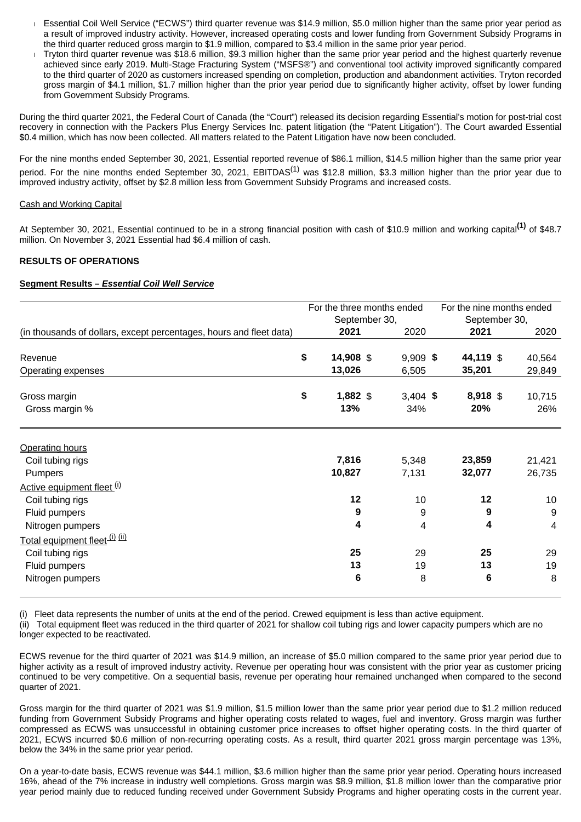- Essential Coil Well Service ("ECWS") third quarter revenue was \$14.9 million, \$5.0 million higher than the same prior year period as a result of improved industry activity. However, increased operating costs and lower funding from Government Subsidy Programs in the third quarter reduced gross margin to \$1.9 million, compared to \$3.4 million in the same prior year period.
- Tryton third quarter revenue was \$18.6 million, \$9.3 million higher than the same prior year period and the highest quarterly revenue achieved since early 2019. Multi-Stage Fracturing System ("MSFS®") and conventional tool activity improved significantly compared to the third quarter of 2020 as customers increased spending on completion, production and abandonment activities. Tryton recorded gross margin of \$4.1 million, \$1.7 million higher than the prior year period due to significantly higher activity, offset by lower funding from Government Subsidy Programs.

During the third quarter 2021, the Federal Court of Canada (the "Court") released its decision regarding Essential's motion for post-trial cost recovery in connection with the Packers Plus Energy Services Inc. patent litigation (the "Patent Litigation"). The Court awarded Essential \$0.4 million, which has now been collected. All matters related to the Patent Litigation have now been concluded.

For the nine months ended September 30, 2021, Essential reported revenue of \$86.1 million, \$14.5 million higher than the same prior year period. For the nine months ended September 30, 2021, EBITDAS<sup>(1)</sup> was \$12.8 million, \$3.3 million higher than the prior year due to improved industry activity, offset by \$2.8 million less from Government Subsidy Programs and increased costs.

#### Cash and Working Capital

At September 30, 2021, Essential continued to be in a strong financial position with cash of \$10.9 million and working capital**(1)** of \$48.7 million. On November 3, 2021 Essential had \$6.4 million of cash.

## **RESULTS OF OPERATIONS**

## **Segment Results – Essential Coil Well Service**

|                                                                     |    | For the three months ended<br>September 30, |  |                   |  | For the nine months ended<br>September 30, |               |  |
|---------------------------------------------------------------------|----|---------------------------------------------|--|-------------------|--|--------------------------------------------|---------------|--|
| (in thousands of dollars, except percentages, hours and fleet data) |    | 2021                                        |  |                   |  | 2021                                       | 2020          |  |
| Revenue                                                             | \$ | 14,908 \$                                   |  | $9,909$ \$        |  | 44,119 \$                                  | 40,564        |  |
| Operating expenses                                                  |    | 13,026                                      |  | 6,505             |  | 35,201                                     | 29,849        |  |
| Gross margin<br>Gross margin %                                      | \$ | 1,882 \$<br>13%                             |  | $3,404$ \$<br>34% |  | 8,918 \$<br>20%                            | 10,715<br>26% |  |
| <b>Operating hours</b>                                              |    |                                             |  |                   |  |                                            |               |  |
| Coil tubing rigs                                                    |    | 7,816                                       |  | 5,348             |  | 23,859                                     | 21,421        |  |
| Pumpers                                                             |    | 10,827                                      |  | 7,131             |  | 32,077                                     | 26,735        |  |
| Active equipment fleet (i)                                          |    |                                             |  |                   |  |                                            |               |  |
| Coil tubing rigs                                                    |    | 12                                          |  | 10                |  | 12                                         | 10            |  |
| Fluid pumpers                                                       |    | 9                                           |  | 9                 |  | 9                                          | 9             |  |
| Nitrogen pumpers                                                    |    | $\overline{\mathbf{4}}$                     |  | 4                 |  | 4                                          | 4             |  |
| Total equipment fleet <sup>(i) (ii)</sup>                           |    |                                             |  |                   |  |                                            |               |  |
| Coil tubing rigs                                                    |    | 25                                          |  | 29                |  | 25                                         | 29            |  |
| Fluid pumpers                                                       |    | 13                                          |  | 19                |  | 13                                         | 19            |  |
| Nitrogen pumpers                                                    |    | 6                                           |  | 8                 |  | 6                                          | 8             |  |

(i) Fleet data represents the number of units at the end of the period. Crewed equipment is less than active equipment.

(ii) Total equipment fleet was reduced in the third quarter of 2021 for shallow coil tubing rigs and lower capacity pumpers which are no longer expected to be reactivated.

ECWS revenue for the third quarter of 2021 was \$14.9 million, an increase of \$5.0 million compared to the same prior year period due to higher activity as a result of improved industry activity. Revenue per operating hour was consistent with the prior year as customer pricing continued to be very competitive. On a sequential basis, revenue per operating hour remained unchanged when compared to the second quarter of 2021.

Gross margin for the third quarter of 2021 was \$1.9 million, \$1.5 million lower than the same prior year period due to \$1.2 million reduced funding from Government Subsidy Programs and higher operating costs related to wages, fuel and inventory. Gross margin was further compressed as ECWS was unsuccessful in obtaining customer price increases to offset higher operating costs. In the third quarter of 2021, ECWS incurred \$0.6 million of non-recurring operating costs. As a result, third quarter 2021 gross margin percentage was 13%, below the 34% in the same prior year period.

On a year-to-date basis, ECWS revenue was \$44.1 million, \$3.6 million higher than the same prior year period. Operating hours increased 16%, ahead of the 7% increase in industry well completions. Gross margin was \$8.9 million, \$1.8 million lower than the comparative prior year period mainly due to reduced funding received under Government Subsidy Programs and higher operating costs in the current year.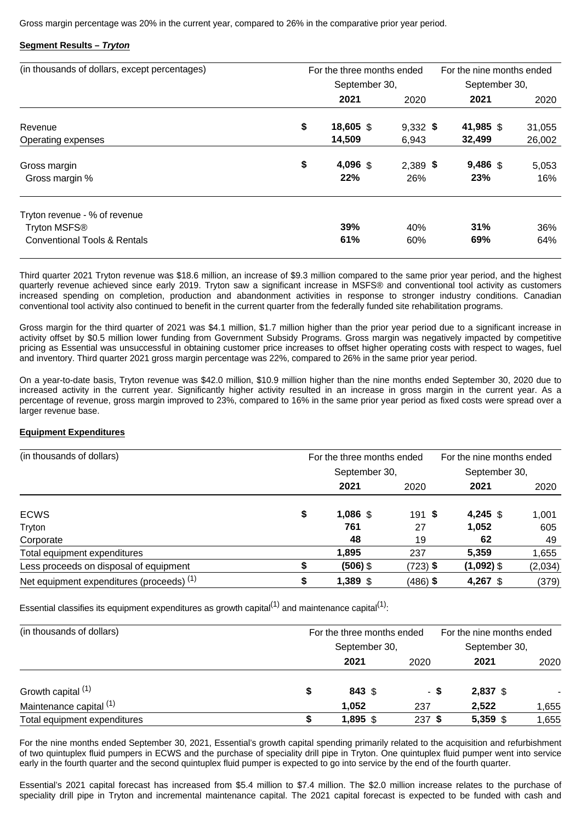Gross margin percentage was 20% in the current year, compared to 26% in the comparative prior year period.

## **Segment Results – Tryton**

| (in thousands of dollars, except percentages)                                                        | For the three months ended | For the nine months ended<br>September 30, |                   |              |
|------------------------------------------------------------------------------------------------------|----------------------------|--------------------------------------------|-------------------|--------------|
|                                                                                                      | September 30,              |                                            |                   |              |
|                                                                                                      | 2021                       | 2020                                       | 2021              | 2020         |
| Revenue                                                                                              | \$<br>18,605 \$            | $9,332$ \$                                 | 41,985 \$         | 31,055       |
| Operating expenses                                                                                   | 14,509                     | 6,943                                      | 32,499            | 26,002       |
| Gross margin<br>Gross margin %                                                                       | \$<br>4,096 \$<br>22%      | $2,389$ \$<br>26%                          | $9,486$ \$<br>23% | 5,053<br>16% |
| Tryton revenue - % of revenue<br>Tryton MSFS <sup>®</sup><br><b>Conventional Tools &amp; Rentals</b> | 39%<br>61%                 | 40%<br>60%                                 | 31%<br>69%        | 36%<br>64%   |

Third quarter 2021 Tryton revenue was \$18.6 million, an increase of \$9.3 million compared to the same prior year period, and the highest quarterly revenue achieved since early 2019. Tryton saw a significant increase in MSFS® and conventional tool activity as customers increased spending on completion, production and abandonment activities in response to stronger industry conditions. Canadian conventional tool activity also continued to benefit in the current quarter from the federally funded site rehabilitation programs.

Gross margin for the third quarter of 2021 was \$4.1 million, \$1.7 million higher than the prior year period due to a significant increase in activity offset by \$0.5 million lower funding from Government Subsidy Programs. Gross margin was negatively impacted by competitive pricing as Essential was unsuccessful in obtaining customer price increases to offset higher operating costs with respect to wages, fuel and inventory. Third quarter 2021 gross margin percentage was 22%, compared to 26% in the same prior year period.

On a year-to-date basis, Tryton revenue was \$42.0 million, \$10.9 million higher than the nine months ended September 30, 2020 due to increased activity in the current year. Significantly higher activity resulted in an increase in gross margin in the current year. As a percentage of revenue, gross margin improved to 23%, compared to 16% in the same prior year period as fixed costs were spread over a larger revenue base.

## **Equipment Expenditures**

| (in thousands of dollars)                 |               | For the three months ended | For the nine months ended |               |         |
|-------------------------------------------|---------------|----------------------------|---------------------------|---------------|---------|
|                                           | September 30, |                            |                           | September 30, |         |
|                                           |               | 2021                       | 2020                      | 2021          | 2020    |
| <b>ECWS</b>                               | \$            | $1,086$ \$                 | 191S                      | 4,245 $$$     | 1.001   |
| Tryton                                    |               | 761                        | 27                        | 1,052         | 605     |
| Corporate                                 |               | 48                         | 19                        | 62            | 49      |
| Total equipment expenditures              |               | 1.895                      | 237                       | 5,359         | 1,655   |
| Less proceeds on disposal of equipment    |               | (506) \$                   | (723) \$                  | $(1,092)$ \$  | (2,034) |
| Net equipment expenditures (proceeds) (1) |               | 1,389 \$                   | (486) \$                  | 4,267 \$      | (379)   |

Essential classifies its equipment expenditures as growth capital<sup>(1)</sup> and maintenance capital<sup>(1)</sup>:

| (in thousands of dollars)    |   | For the three months ended | For the nine months ended |          |               |  |
|------------------------------|---|----------------------------|---------------------------|----------|---------------|--|
|                              |   | September 30,              |                           |          | September 30, |  |
|                              |   | 2021                       | 2020                      | 2021     | 2020          |  |
| Growth capital (1)           | S | 843 \$                     | - \$                      | 2,837 \$ |               |  |
| Maintenance capital (1)      |   | 1,052                      | 237                       | 2.522    | 1,655         |  |
| Total equipment expenditures |   | 1,895 $$$                  | 237 \$                    | 5,359 \$ | 1,655         |  |

For the nine months ended September 30, 2021, Essential's growth capital spending primarily related to the acquisition and refurbishment of two quintuplex fluid pumpers in ECWS and the purchase of speciality drill pipe in Tryton. One quintuplex fluid pumper went into service early in the fourth quarter and the second quintuplex fluid pumper is expected to go into service by the end of the fourth quarter.

Essential's 2021 capital forecast has increased from \$5.4 million to \$7.4 million. The \$2.0 million increase relates to the purchase of speciality drill pipe in Tryton and incremental maintenance capital. The 2021 capital forecast is expected to be funded with cash and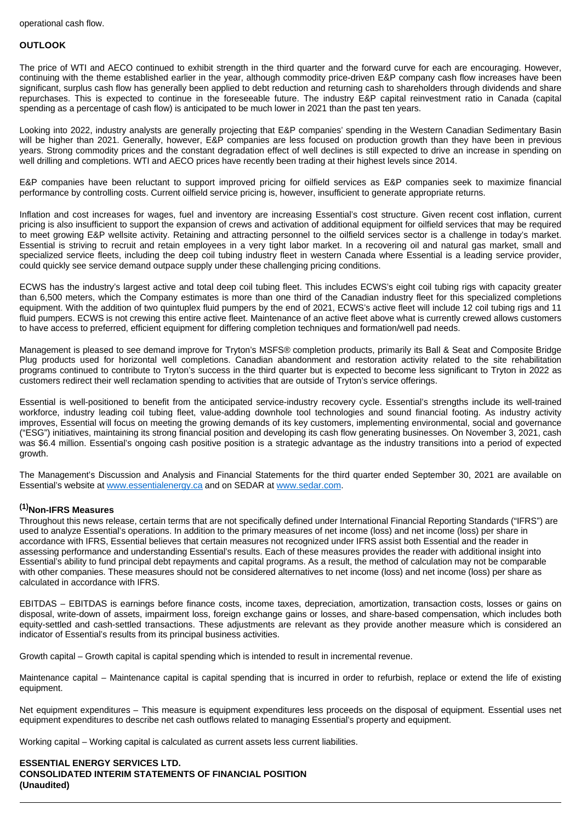#### **OUTLOOK**

The price of WTI and AECO continued to exhibit strength in the third quarter and the forward curve for each are encouraging. However, continuing with the theme established earlier in the year, although commodity price-driven E&P company cash flow increases have been significant, surplus cash flow has generally been applied to debt reduction and returning cash to shareholders through dividends and share repurchases. This is expected to continue in the foreseeable future. The industry E&P capital reinvestment ratio in Canada (capital spending as a percentage of cash flow) is anticipated to be much lower in 2021 than the past ten years.

Looking into 2022, industry analysts are generally projecting that E&P companies' spending in the Western Canadian Sedimentary Basin will be higher than 2021. Generally, however, E&P companies are less focused on production growth than they have been in previous years. Strong commodity prices and the constant degradation effect of well declines is still expected to drive an increase in spending on well drilling and completions. WTI and AECO prices have recently been trading at their highest levels since 2014.

E&P companies have been reluctant to support improved pricing for oilfield services as E&P companies seek to maximize financial performance by controlling costs. Current oilfield service pricing is, however, insufficient to generate appropriate returns.

Inflation and cost increases for wages, fuel and inventory are increasing Essential's cost structure. Given recent cost inflation, current pricing is also insufficient to support the expansion of crews and activation of additional equipment for oilfield services that may be required to meet growing E&P wellsite activity. Retaining and attracting personnel to the oilfield services sector is a challenge in today's market. Essential is striving to recruit and retain employees in a very tight labor market. In a recovering oil and natural gas market, small and specialized service fleets, including the deep coil tubing industry fleet in western Canada where Essential is a leading service provider, could quickly see service demand outpace supply under these challenging pricing conditions.

ECWS has the industry's largest active and total deep coil tubing fleet. This includes ECWS's eight coil tubing rigs with capacity greater than 6,500 meters, which the Company estimates is more than one third of the Canadian industry fleet for this specialized completions equipment. With the addition of two quintuplex fluid pumpers by the end of 2021, ECWS's active fleet will include 12 coil tubing rigs and 11 fluid pumpers. ECWS is not crewing this entire active fleet. Maintenance of an active fleet above what is currently crewed allows customers to have access to preferred, efficient equipment for differing completion techniques and formation/well pad needs.

Management is pleased to see demand improve for Tryton's MSFS® completion products, primarily its Ball & Seat and Composite Bridge Plug products used for horizontal well completions. Canadian abandonment and restoration activity related to the site rehabilitation programs continued to contribute to Tryton's success in the third quarter but is expected to become less significant to Tryton in 2022 as customers redirect their well reclamation spending to activities that are outside of Tryton's service offerings.

Essential is well-positioned to benefit from the anticipated service-industry recovery cycle. Essential's strengths include its well-trained workforce, industry leading coil tubing fleet, value-adding downhole tool technologies and sound financial footing. As industry activity improves, Essential will focus on meeting the growing demands of its key customers, implementing environmental, social and governance ("ESG") initiatives, maintaining its strong financial position and developing its cash flow generating businesses. On November 3, 2021, cash was \$6.4 million. Essential's ongoing cash positive position is a strategic advantage as the industry transitions into a period of expected growth.

The Management's Discussion and Analysis and Financial Statements for the third quarter ended September 30, 2021 are available on Essential's website at [www.essentialenergy.ca](http://www.essentialenergy.ca/) and on SEDAR at [www.sedar.com](http://www.sedar.com/).

## **(1)Non-IFRS Measures**

Throughout this news release, certain terms that are not specifically defined under International Financial Reporting Standards ("IFRS") are used to analyze Essential's operations. In addition to the primary measures of net income (loss) and net income (loss) per share in accordance with IFRS, Essential believes that certain measures not recognized under IFRS assist both Essential and the reader in assessing performance and understanding Essential's results. Each of these measures provides the reader with additional insight into Essential's ability to fund principal debt repayments and capital programs. As a result, the method of calculation may not be comparable with other companies. These measures should not be considered alternatives to net income (loss) and net income (loss) per share as calculated in accordance with IFRS.

EBITDAS – EBITDAS is earnings before finance costs, income taxes, depreciation, amortization, transaction costs, losses or gains on disposal, write-down of assets, impairment loss, foreign exchange gains or losses, and share-based compensation, which includes both equity-settled and cash-settled transactions. These adjustments are relevant as they provide another measure which is considered an indicator of Essential's results from its principal business activities.

Growth capital – Growth capital is capital spending which is intended to result in incremental revenue.

Maintenance capital – Maintenance capital is capital spending that is incurred in order to refurbish, replace or extend the life of existing equipment.

Net equipment expenditures – This measure is equipment expenditures less proceeds on the disposal of equipment. Essential uses net equipment expenditures to describe net cash outflows related to managing Essential's property and equipment.

Working capital – Working capital is calculated as current assets less current liabilities.

**ESSENTIAL ENERGY SERVICES LTD. CONSOLIDATED INTERIM STATEMENTS OF FINANCIAL POSITION (Unaudited)**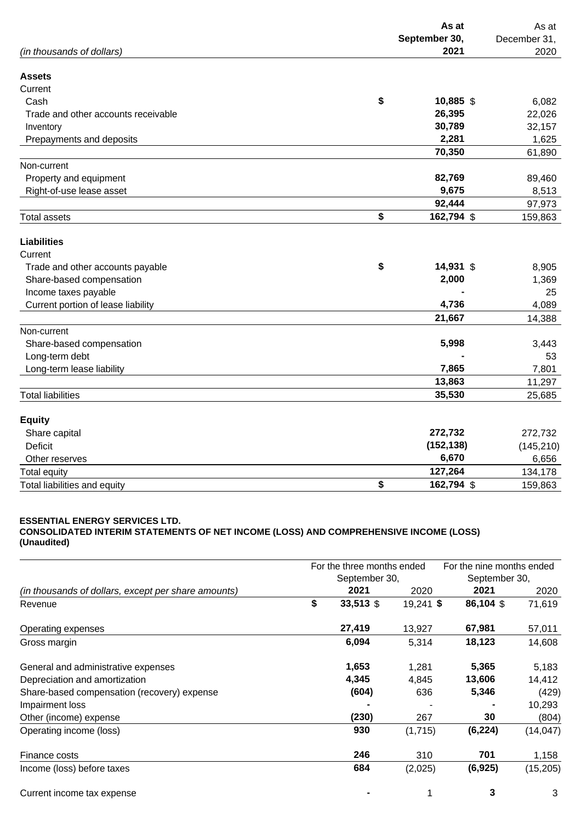|                                     | As at<br>September 30, | As at<br>December 31, |
|-------------------------------------|------------------------|-----------------------|
| (in thousands of dollars)           | 2021                   | 2020                  |
| <b>Assets</b>                       |                        |                       |
| Current                             |                        |                       |
| Cash                                | \$<br>10,885 \$        | 6,082                 |
| Trade and other accounts receivable | 26,395                 | 22,026                |
| Inventory                           | 30,789                 | 32,157                |
| Prepayments and deposits            | 2,281                  | 1,625                 |
|                                     | 70,350                 | 61,890                |
| Non-current                         |                        |                       |
| Property and equipment              | 82,769                 | 89,460                |
| Right-of-use lease asset            | 9,675                  | 8,513                 |
|                                     | 92,444                 | 97,973                |
| <b>Total assets</b>                 | \$<br>162,794 \$       | 159,863               |
| <b>Liabilities</b>                  |                        |                       |
| Current                             |                        |                       |
| Trade and other accounts payable    | \$<br>14,931 \$        | 8,905                 |
| Share-based compensation            | 2,000                  | 1,369                 |
| Income taxes payable                |                        | 25                    |
| Current portion of lease liability  | 4,736                  | 4,089                 |
|                                     | 21,667                 | 14,388                |
| Non-current                         |                        |                       |
| Share-based compensation            | 5,998                  | 3,443                 |
| Long-term debt                      |                        | 53                    |
| Long-term lease liability           | 7,865                  | 7,801                 |
|                                     | 13,863                 | 11,297                |
| <b>Total liabilities</b>            | 35,530                 | 25,685                |
| <b>Equity</b>                       |                        |                       |
| Share capital                       | 272,732                | 272,732               |
| <b>Deficit</b>                      | (152, 138)             | (145, 210)            |
| Other reserves                      | 6,670                  | 6,656                 |
| <b>Total equity</b>                 | 127,264                | 134,178               |
| Total liabilities and equity        | \$<br>162,794 \$       | 159,863               |

## **ESSENTIAL ENERGY SERVICES LTD.**

**CONSOLIDATED INTERIM STATEMENTS OF NET INCOME (LOSS) AND COMPREHENSIVE INCOME (LOSS) (Unaudited)**

|                                                     | For the three months ended<br>September 30, |           |             | For the nine months ended<br>September 30, |           |  |
|-----------------------------------------------------|---------------------------------------------|-----------|-------------|--------------------------------------------|-----------|--|
|                                                     |                                             |           |             |                                            |           |  |
| (in thousands of dollars, except per share amounts) |                                             | 2021      | 2020        | 2021                                       | 2020      |  |
| Revenue                                             | \$                                          | 33,513 \$ | $19,241$ \$ | 86,104 \$                                  | 71,619    |  |
| Operating expenses                                  |                                             | 27,419    | 13,927      | 67,981                                     | 57,011    |  |
| Gross margin                                        |                                             | 6,094     | 5,314       | 18,123                                     | 14,608    |  |
| General and administrative expenses                 |                                             | 1,653     | 1,281       | 5,365                                      | 5,183     |  |
| Depreciation and amortization                       |                                             | 4,345     | 4,845       | 13,606                                     | 14,412    |  |
| Share-based compensation (recovery) expense         |                                             | (604)     | 636         | 5,346                                      | (429)     |  |
| Impairment loss                                     |                                             |           |             |                                            | 10,293    |  |
| Other (income) expense                              |                                             | (230)     | 267         | 30                                         | (804)     |  |
| Operating income (loss)                             |                                             | 930       | (1,715)     | (6, 224)                                   | (14, 047) |  |
| Finance costs                                       |                                             | 246       | 310         | 701                                        | 1,158     |  |
| Income (loss) before taxes                          |                                             | 684       | (2,025)     | (6, 925)                                   | (15, 205) |  |
| Current income tax expense                          |                                             |           | 1           | 3                                          | 3         |  |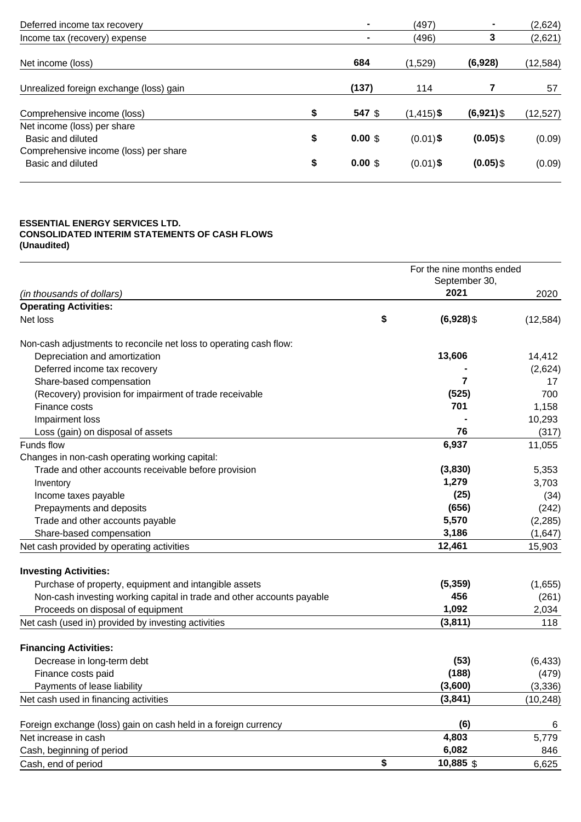| $\blacksquare$     | (497)         | $\blacksquare$ | (2,624)   |
|--------------------|---------------|----------------|-----------|
|                    | (496)         | 3              | (2,621)   |
| 684                | (1,529)       | (6,928)        | (12, 584) |
| (137)              | 114           |                | 57        |
| 547 \$             | $(1, 415)$ \$ | $(6,921)$ \$   | (12, 527) |
| $0.00 \text{ }$ \$ | $(0.01)$ \$   | $(0.05)$ \$    | (0.09)    |
| $0.00 \text{ }$ \$ | $(0.01)$ \$   | $(0.05)$ \$    | (0.09)    |
|                    |               |                |           |

#### **ESSENTIAL ENERGY SERVICES LTD. CONSOLIDATED INTERIM STATEMENTS OF CASH FLOWS (Unaudited)**

|                                                                        |    | For the nine months ended |           |  |
|------------------------------------------------------------------------|----|---------------------------|-----------|--|
|                                                                        |    | September 30,             |           |  |
| (in thousands of dollars)                                              |    | 2021                      | 2020      |  |
| <b>Operating Activities:</b>                                           |    |                           |           |  |
| Net loss                                                               | \$ | $(6,928)$ \$              | (12, 584) |  |
| Non-cash adjustments to reconcile net loss to operating cash flow:     |    |                           |           |  |
| Depreciation and amortization                                          |    | 13,606                    | 14,412    |  |
| Deferred income tax recovery                                           |    |                           | (2,624)   |  |
| Share-based compensation                                               |    | 7                         | 17        |  |
| (Recovery) provision for impairment of trade receivable                |    | (525)                     | 700       |  |
| Finance costs                                                          |    | 701                       | 1,158     |  |
| Impairment loss                                                        |    |                           | 10,293    |  |
| Loss (gain) on disposal of assets                                      |    | 76                        | (317)     |  |
| Funds flow                                                             |    | 6,937                     | 11,055    |  |
| Changes in non-cash operating working capital:                         |    |                           |           |  |
| Trade and other accounts receivable before provision                   |    | (3,830)                   | 5,353     |  |
| Inventory                                                              |    | 1,279                     | 3,703     |  |
| Income taxes payable                                                   |    | (25)                      | (34)      |  |
| Prepayments and deposits                                               |    | (656)                     | (242)     |  |
| Trade and other accounts payable                                       |    | 5,570                     | (2, 285)  |  |
| Share-based compensation                                               |    | 3,186                     | (1,647)   |  |
| Net cash provided by operating activities                              |    | 12,461                    | 15,903    |  |
| <b>Investing Activities:</b>                                           |    |                           |           |  |
| Purchase of property, equipment and intangible assets                  |    | (5, 359)                  | (1,655)   |  |
| Non-cash investing working capital in trade and other accounts payable |    | 456                       | (261)     |  |
| Proceeds on disposal of equipment                                      |    | 1,092                     | 2,034     |  |
| Net cash (used in) provided by investing activities                    |    | (3,811)                   | 118       |  |
| <b>Financing Activities:</b>                                           |    |                           |           |  |
| Decrease in long-term debt                                             |    | (53)                      | (6, 433)  |  |
| Finance costs paid                                                     |    | (188)                     | (479)     |  |
| Payments of lease liability                                            |    | (3,600)                   | (3, 336)  |  |
| Net cash used in financing activities                                  |    | (3,841)                   | (10, 248) |  |
|                                                                        |    |                           |           |  |
| Foreign exchange (loss) gain on cash held in a foreign currency        |    | (6)                       | 6         |  |
| Net increase in cash                                                   |    | 4,803                     | 5,779     |  |
| Cash, beginning of period                                              |    | 6,082                     | 846       |  |
| Cash, end of period                                                    | \$ | 10,885 \$                 | 6,625     |  |